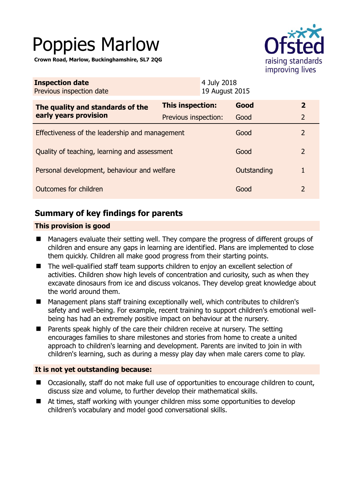# Poppies Marlow

**Crown Road, Marlow, Buckinghamshire, SL7 2QG** 



| <b>Inspection date</b><br>Previous inspection date |                      | 4 July 2018<br>19 August 2015 |             |               |
|----------------------------------------------------|----------------------|-------------------------------|-------------|---------------|
| The quality and standards of the                   | This inspection:     |                               | Good        | $\mathbf{2}$  |
| early years provision                              | Previous inspection: |                               | Good        | $\mathcal{P}$ |
| Effectiveness of the leadership and management     |                      |                               | Good        | $\mathcal{P}$ |
| Quality of teaching, learning and assessment       |                      |                               | Good        | 2             |
| Personal development, behaviour and welfare        |                      |                               | Outstanding | 1             |
| Outcomes for children                              |                      |                               | Good        | 2             |

# **Summary of key findings for parents**

### **This provision is good**

- Managers evaluate their setting well. They compare the progress of different groups of children and ensure any gaps in learning are identified. Plans are implemented to close them quickly. Children all make good progress from their starting points.
- The well-qualified staff team supports children to enjoy an excellent selection of activities. Children show high levels of concentration and curiosity, such as when they excavate dinosaurs from ice and discuss volcanos. They develop great knowledge about the world around them.
- Management plans staff training exceptionally well, which contributes to children's safety and well-being. For example, recent training to support children's emotional wellbeing has had an extremely positive impact on behaviour at the nursery.
- Parents speak highly of the care their children receive at nursery. The setting encourages families to share milestones and stories from home to create a united approach to children's learning and development. Parents are invited to join in with children's learning, such as during a messy play day when male carers come to play.

### **It is not yet outstanding because:**

- Occasionally, staff do not make full use of opportunities to encourage children to count, discuss size and volume, to further develop their mathematical skills.
- At times, staff working with younger children miss some opportunities to develop children's vocabulary and model good conversational skills.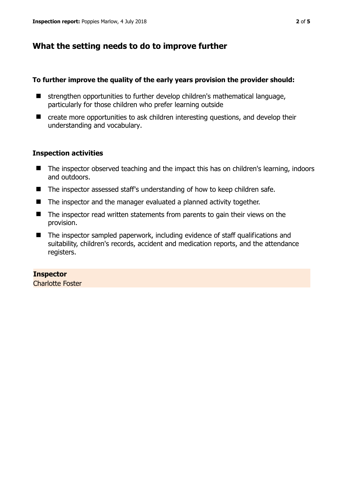# **What the setting needs to do to improve further**

### **To further improve the quality of the early years provision the provider should:**

- strengthen opportunities to further develop children's mathematical language, particularly for those children who prefer learning outside
- create more opportunities to ask children interesting questions, and develop their understanding and vocabulary.

### **Inspection activities**

- The inspector observed teaching and the impact this has on children's learning, indoors and outdoors.
- The inspector assessed staff's understanding of how to keep children safe.
- The inspector and the manager evaluated a planned activity together.
- The inspector read written statements from parents to gain their views on the provision.
- The inspector sampled paperwork, including evidence of staff qualifications and suitability, children's records, accident and medication reports, and the attendance registers.

# **Inspector**

Charlotte Foster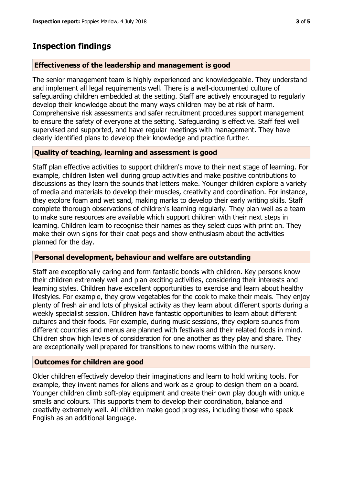# **Inspection findings**

### **Effectiveness of the leadership and management is good**

The senior management team is highly experienced and knowledgeable. They understand and implement all legal requirements well. There is a well-documented culture of safeguarding children embedded at the setting. Staff are actively encouraged to regularly develop their knowledge about the many ways children may be at risk of harm. Comprehensive risk assessments and safer recruitment procedures support management to ensure the safety of everyone at the setting. Safeguarding is effective. Staff feel well supervised and supported, and have regular meetings with management. They have clearly identified plans to develop their knowledge and practice further.

### **Quality of teaching, learning and assessment is good**

Staff plan effective activities to support children's move to their next stage of learning. For example, children listen well during group activities and make positive contributions to discussions as they learn the sounds that letters make. Younger children explore a variety of media and materials to develop their muscles, creativity and coordination. For instance, they explore foam and wet sand, making marks to develop their early writing skills. Staff complete thorough observations of children's learning regularly. They plan well as a team to make sure resources are available which support children with their next steps in learning. Children learn to recognise their names as they select cups with print on. They make their own signs for their coat pegs and show enthusiasm about the activities planned for the day.

### **Personal development, behaviour and welfare are outstanding**

Staff are exceptionally caring and form fantastic bonds with children. Key persons know their children extremely well and plan exciting activities, considering their interests and learning styles. Children have excellent opportunities to exercise and learn about healthy lifestyles. For example, they grow vegetables for the cook to make their meals. They enjoy plenty of fresh air and lots of physical activity as they learn about different sports during a weekly specialist session. Children have fantastic opportunities to learn about different cultures and their foods. For example, during music sessions, they explore sounds from different countries and menus are planned with festivals and their related foods in mind. Children show high levels of consideration for one another as they play and share. They are exceptionally well prepared for transitions to new rooms within the nursery.

### **Outcomes for children are good**

Older children effectively develop their imaginations and learn to hold writing tools. For example, they invent names for aliens and work as a group to design them on a board. Younger children climb soft-play equipment and create their own play dough with unique smells and colours. This supports them to develop their coordination, balance and creativity extremely well. All children make good progress, including those who speak English as an additional language.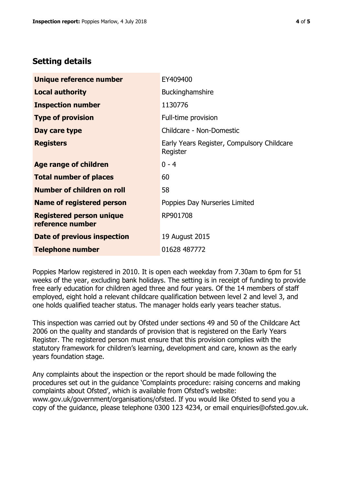### **Setting details**

| Unique reference number                             | EY409400                                               |  |
|-----------------------------------------------------|--------------------------------------------------------|--|
| <b>Local authority</b>                              | Buckinghamshire                                        |  |
| <b>Inspection number</b>                            | 1130776                                                |  |
| <b>Type of provision</b>                            | Full-time provision                                    |  |
| Day care type                                       | Childcare - Non-Domestic                               |  |
| <b>Registers</b>                                    | Early Years Register, Compulsory Childcare<br>Register |  |
| Age range of children                               | $0 - 4$                                                |  |
| <b>Total number of places</b>                       | 60                                                     |  |
| Number of children on roll                          | 58                                                     |  |
| Name of registered person                           | Poppies Day Nurseries Limited                          |  |
| <b>Registered person unique</b><br>reference number | RP901708                                               |  |
| Date of previous inspection                         | 19 August 2015                                         |  |
| <b>Telephone number</b>                             | 01628 487772                                           |  |

Poppies Marlow registered in 2010. It is open each weekday from 7.30am to 6pm for 51 weeks of the year, excluding bank holidays. The setting is in receipt of funding to provide free early education for children aged three and four years. Of the 14 members of staff employed, eight hold a relevant childcare qualification between level 2 and level 3, and one holds qualified teacher status. The manager holds early years teacher status.

This inspection was carried out by Ofsted under sections 49 and 50 of the Childcare Act 2006 on the quality and standards of provision that is registered on the Early Years Register. The registered person must ensure that this provision complies with the statutory framework for children's learning, development and care, known as the early years foundation stage.

Any complaints about the inspection or the report should be made following the procedures set out in the guidance 'Complaints procedure: raising concerns and making complaints about Ofsted', which is available from Ofsted's website: www.gov.uk/government/organisations/ofsted. If you would like Ofsted to send you a copy of the guidance, please telephone 0300 123 4234, or email enquiries@ofsted.gov.uk.